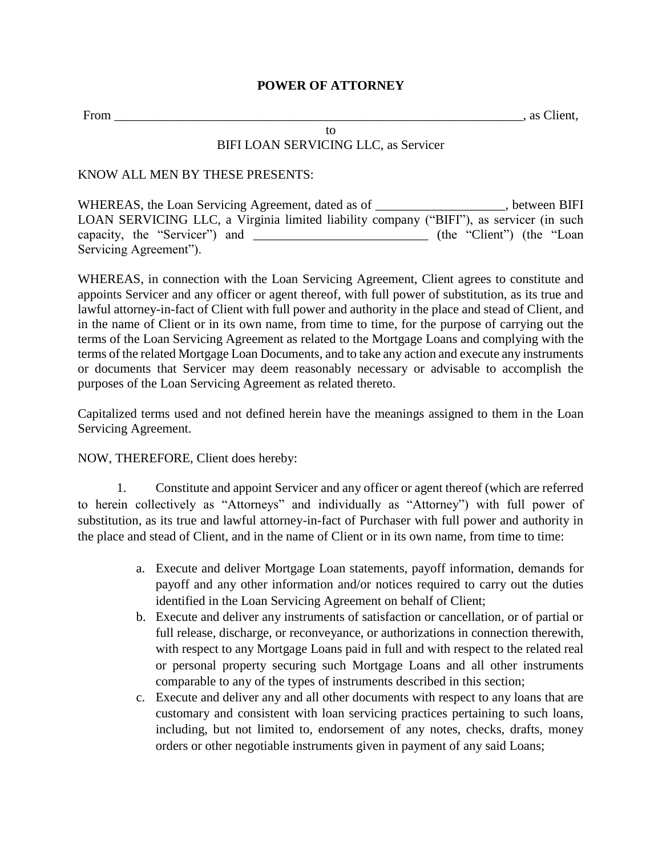## **POWER OF ATTORNEY**

From \_\_\_\_\_\_\_\_\_\_\_\_\_\_\_\_\_\_\_\_\_\_\_\_\_\_\_\_\_\_\_\_\_\_\_\_\_\_\_\_\_\_\_\_\_\_\_\_\_\_\_\_\_\_\_\_\_\_\_\_\_\_\_, as Client,

## to BIFI LOAN SERVICING LLC, as Servicer

## KNOW ALL MEN BY THESE PRESENTS:

WHEREAS, the Loan Servicing Agreement, dated as of \_\_\_\_\_\_\_\_\_\_\_\_\_\_\_\_\_\_\_\_, between BIFI LOAN SERVICING LLC, a Virginia limited liability company ("BIFI"), as servicer (in such capacity, the "Servicer") and \_\_\_\_\_\_\_\_\_\_\_\_\_\_\_\_\_\_\_\_\_\_\_\_\_\_\_\_\_ (the "Client") (the "Loan Servicing Agreement").

WHEREAS, in connection with the Loan Servicing Agreement, Client agrees to constitute and appoints Servicer and any officer or agent thereof, with full power of substitution, as its true and lawful attorney-in-fact of Client with full power and authority in the place and stead of Client, and in the name of Client or in its own name, from time to time, for the purpose of carrying out the terms of the Loan Servicing Agreement as related to the Mortgage Loans and complying with the terms of the related Mortgage Loan Documents, and to take any action and execute any instruments or documents that Servicer may deem reasonably necessary or advisable to accomplish the purposes of the Loan Servicing Agreement as related thereto.

Capitalized terms used and not defined herein have the meanings assigned to them in the Loan Servicing Agreement.

## NOW, THEREFORE, Client does hereby:

1. Constitute and appoint Servicer and any officer or agent thereof (which are referred to herein collectively as "Attorneys" and individually as "Attorney") with full power of substitution, as its true and lawful attorney-in-fact of Purchaser with full power and authority in the place and stead of Client, and in the name of Client or in its own name, from time to time:

- a. Execute and deliver Mortgage Loan statements, payoff information, demands for payoff and any other information and/or notices required to carry out the duties identified in the Loan Servicing Agreement on behalf of Client;
- b. Execute and deliver any instruments of satisfaction or cancellation, or of partial or full release, discharge, or reconveyance, or authorizations in connection therewith, with respect to any Mortgage Loans paid in full and with respect to the related real or personal property securing such Mortgage Loans and all other instruments comparable to any of the types of instruments described in this section;
- c. Execute and deliver any and all other documents with respect to any loans that are customary and consistent with loan servicing practices pertaining to such loans, including, but not limited to, endorsement of any notes, checks, drafts, money orders or other negotiable instruments given in payment of any said Loans;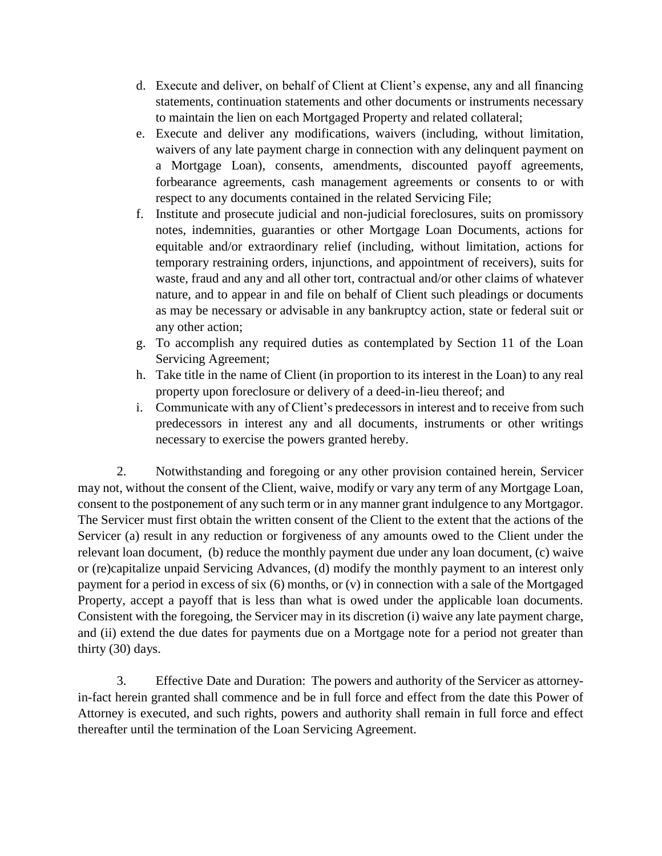- d. Execute and deliver, on behalf of Client at Client's expense, any and all financing statements, continuation statements and other documents or instruments necessary to maintain the lien on each Mortgaged Property and related collateral;
- e. Execute and deliver any modifications, waivers (including, without limitation, waivers of any late payment charge in connection with any delinquent payment on a Mortgage Loan), consents, amendments, discounted payoff agreements, forbearance agreements, cash management agreements or consents to or with respect to any documents contained in the related Servicing File;
- f. Institute and prosecute judicial and non-judicial foreclosures, suits on promissory notes, indemnities, guaranties or other Mortgage Loan Documents, actions for equitable and/or extraordinary relief (including, without limitation, actions for temporary restraining orders, injunctions, and appointment of receivers), suits for waste, fraud and any and all other tort, contractual and/or other claims of whatever nature, and to appear in and file on behalf of Client such pleadings or documents as may be necessary or advisable in any bankruptcy action, state or federal suit or any other action;
- g. To accomplish any required duties as contemplated by Section 11 of the Loan Servicing Agreement;
- h. Take title in the name of Client (in proportion to its interest in the Loan) to any real property upon foreclosure or delivery of a deed-in-lieu thereof; and
- i. Communicate with any of Client's predecessors in interest and to receive from such predecessors in interest any and all documents, instruments or other writings necessary to exercise the powers granted hereby.

2. Notwithstanding and foregoing or any other provision contained herein, Servicer may not, without the consent of the Client, waive, modify or vary any term of any Mortgage Loan, consent to the postponement of any such term or in any manner grant indulgence to any Mortgagor. The Servicer must first obtain the written consent of the Client to the extent that the actions of the Servicer (a) result in any reduction or forgiveness of any amounts owed to the Client under the relevant loan document, (b) reduce the monthly payment due under any loan document, (c) waive or (re)capitalize unpaid Servicing Advances, (d) modify the monthly payment to an interest only payment for a period in excess of six (6) months, or (v) in connection with a sale of the Mortgaged Property, accept a payoff that is less than what is owed under the applicable loan documents. Consistent with the foregoing, the Servicer may in its discretion (i) waive any late payment charge, and (ii) extend the due dates for payments due on a Mortgage note for a period not greater than thirty (30) days.

3. Effective Date and Duration: The powers and authority of the Servicer as attorneyin-fact herein granted shall commence and be in full force and effect from the date this Power of Attorney is executed, and such rights, powers and authority shall remain in full force and effect thereafter until the termination of the Loan Servicing Agreement.